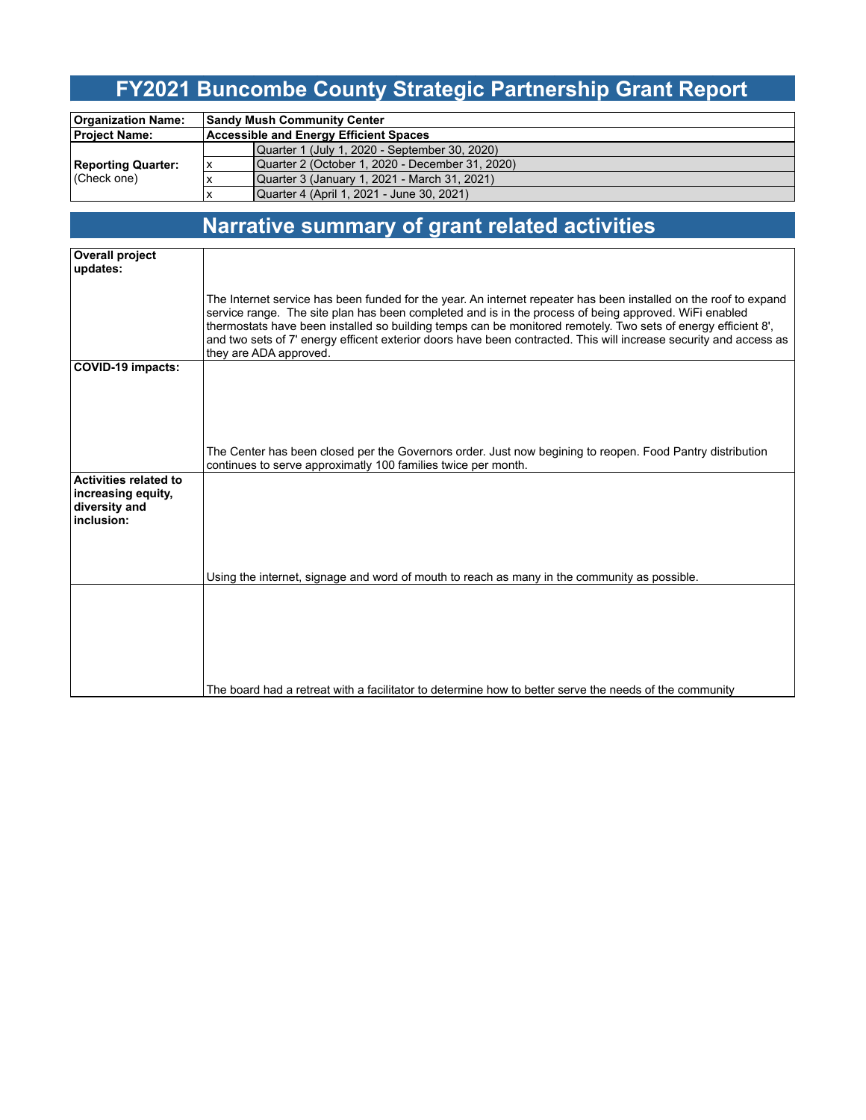### **FY2021 Buncombe County Strategic Partnership Grant Report**

| <b>Organization Name:</b>                    |   | <b>Sandy Mush Community Center</b>              |  |  |  |  |
|----------------------------------------------|---|-------------------------------------------------|--|--|--|--|
| <b>Project Name:</b>                         |   | Accessible and Energy Efficient Spaces          |  |  |  |  |
| <b>Reporting Quarter:</b><br>$ $ (Check one) |   | Quarter 1 (July 1, 2020 - September 30, 2020)   |  |  |  |  |
|                                              | x | Quarter 2 (October 1, 2020 - December 31, 2020) |  |  |  |  |
|                                              |   | Quarter 3 (January 1, 2021 - March 31, 2021)    |  |  |  |  |
|                                              |   | Quarter 4 (April 1, 2021 - June 30, 2021)       |  |  |  |  |

# **Narrative summary of grant related activities**

| <b>Overall project</b>              |                                                                                                                                                                                                                        |
|-------------------------------------|------------------------------------------------------------------------------------------------------------------------------------------------------------------------------------------------------------------------|
| updates:                            |                                                                                                                                                                                                                        |
|                                     |                                                                                                                                                                                                                        |
|                                     | The Internet service has been funded for the year. An internet repeater has been installed on the roof to expand                                                                                                       |
|                                     | service range. The site plan has been completed and is in the process of being approved. WiFi enabled<br>thermostats have been installed so building temps can be monitored remotely. Two sets of energy efficient 8', |
|                                     | and two sets of 7' energy efficent exterior doors have been contracted. This will increase security and access as                                                                                                      |
|                                     | they are ADA approved.                                                                                                                                                                                                 |
| <b>COVID-19 impacts:</b>            |                                                                                                                                                                                                                        |
|                                     |                                                                                                                                                                                                                        |
|                                     |                                                                                                                                                                                                                        |
|                                     |                                                                                                                                                                                                                        |
|                                     |                                                                                                                                                                                                                        |
|                                     | The Center has been closed per the Governors order. Just now begining to reopen. Food Pantry distribution                                                                                                              |
|                                     | continues to serve approximatly 100 families twice per month.                                                                                                                                                          |
| <b>Activities related to</b>        |                                                                                                                                                                                                                        |
| increasing equity,<br>diversity and |                                                                                                                                                                                                                        |
| inclusion:                          |                                                                                                                                                                                                                        |
|                                     |                                                                                                                                                                                                                        |
|                                     |                                                                                                                                                                                                                        |
|                                     |                                                                                                                                                                                                                        |
|                                     | Using the internet, signage and word of mouth to reach as many in the community as possible.                                                                                                                           |
|                                     |                                                                                                                                                                                                                        |
|                                     |                                                                                                                                                                                                                        |
|                                     |                                                                                                                                                                                                                        |
|                                     |                                                                                                                                                                                                                        |
|                                     |                                                                                                                                                                                                                        |
|                                     | The board had a retreat with a facilitator to determine how to better serve the needs of the community                                                                                                                 |
|                                     |                                                                                                                                                                                                                        |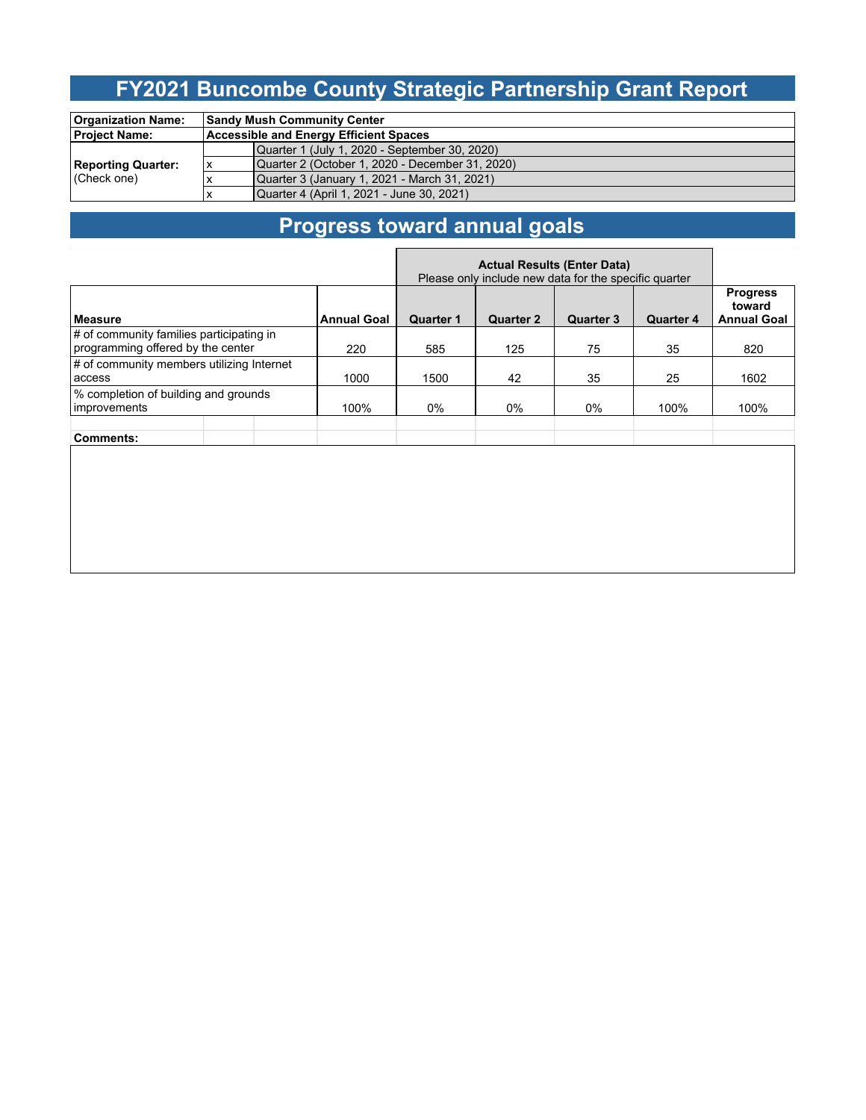### **FY2021 Buncombe County Strategic Partnership Grant Report**

| <b>Organization Name:</b>                |    | <b>Sandy Mush Community Center</b>              |  |  |  |  |
|------------------------------------------|----|-------------------------------------------------|--|--|--|--|
| <b>Project Name:</b>                     |    | <b>Accessible and Energy Efficient Spaces</b>   |  |  |  |  |
| <b>Reporting Quarter:</b><br>(Check one) |    | Quarter 1 (July 1, 2020 - September 30, 2020)   |  |  |  |  |
|                                          | ΙX | Quarter 2 (October 1, 2020 - December 31, 2020) |  |  |  |  |
|                                          |    | Quarter 3 (January 1, 2021 - March 31, 2021)    |  |  |  |  |
|                                          |    | Quarter 4 (April 1, 2021 - June 30, 2021)       |  |  |  |  |

# **Progress toward annual goals**

|                                                                               |                    | <b>Actual Results (Enter Data)</b><br>Please only include new data for the specific quarter |                  |                  |                  |                                                 |      |
|-------------------------------------------------------------------------------|--------------------|---------------------------------------------------------------------------------------------|------------------|------------------|------------------|-------------------------------------------------|------|
| <b>Measure</b>                                                                | <b>Annual Goal</b> | <b>Quarter 1</b>                                                                            | <b>Quarter 2</b> | <b>Quarter 3</b> | <b>Quarter 4</b> | <b>Progress</b><br>toward<br><b>Annual Goal</b> |      |
| # of community families participating in<br>programming offered by the center | 220                | 585                                                                                         | 125              | 75               | 35               | 820                                             |      |
| # of community members utilizing Internet<br>access                           | 1000               | 1500                                                                                        | 42               | 35               | 25               | 1602                                            |      |
| % completion of building and grounds<br>improvements                          |                    | 100%                                                                                        | $0\%$            | $0\%$            | $0\%$            | 100%                                            | 100% |
| Comments:                                                                     |                    |                                                                                             |                  |                  |                  |                                                 |      |
|                                                                               |                    |                                                                                             |                  |                  |                  |                                                 |      |
|                                                                               |                    |                                                                                             |                  |                  |                  |                                                 |      |
|                                                                               |                    |                                                                                             |                  |                  |                  |                                                 |      |
|                                                                               |                    |                                                                                             |                  |                  |                  |                                                 |      |